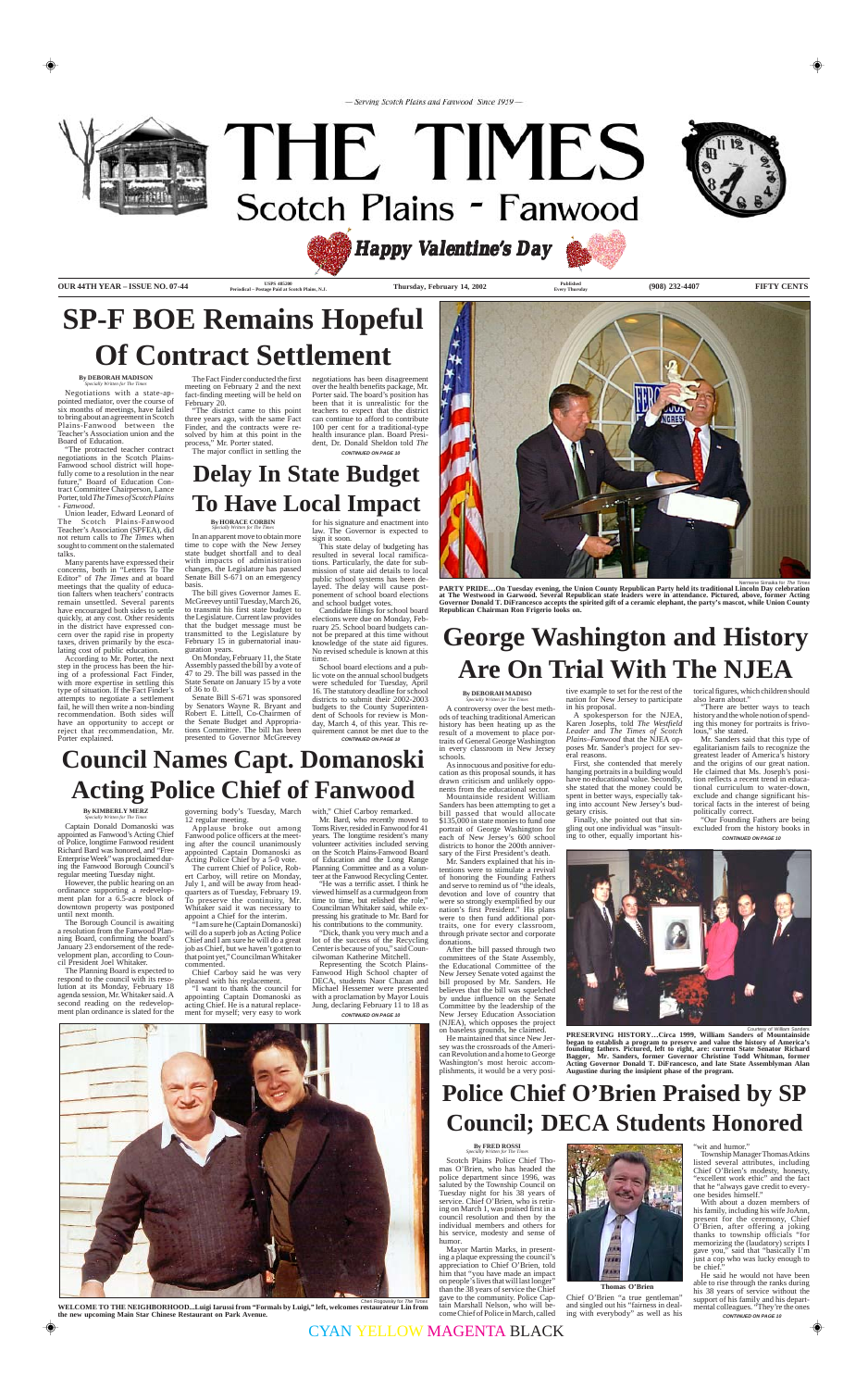- Serving Scotch Plains and Fanwood Since 1959-



# THE TIMES Scotch Plains - Fanwood



**OUR 44TH YEAR – ISSUE NO. 07-44** *USPS* **485200 COUR 44TH YEAR – ISSUE NO. 07-44** *Pariedical Pactage Paid of Scotch Plains* **N.I. <b>COUR 1999 Published** *Published* (908) 232-4407 **FIFTY CENTS** 

**USPS 485200** Periodical – Postage Paid at Scotch Plains, N.J.

**Every Thursday**

*Happy V Valentine' alentine' alentine's Day*

# **George Washington and History Are On Trial With The NJEA**

**By DEBORAH MADISO** *Specially Written for The Times*

A controversy over the best methods of teaching traditional American

history has been heating up as the result of a movement to place portraits of General George Washington in every classroom in New Jersey schools.

As innocuous and positive for education as this proposal sounds, it has drawn criticism and unlikely opponents from the educational sector.

Mountainside resident William Sanders has been attempting to get a bill passed that would allocate \$135,000 in state monies to fund one portrait of George Washington for each of New Jersey's 600 school districts to honor the 200th anniversary of the First President's death.

Mr. Sanders explained that his intentions were to stimulate a revival of honoring the Founding Fathers and serve to remind us of "the ideals, devotion and love of country that were so strongly exemplified by our nation's first President." His plans were to then fund additional portraits, one for every classroom, through private sector and corporate donations.

After the bill passed through two committees of the State Assembly, the Educational Committee of the New Jersey Senate voted against the bill proposed by Mr. Sanders. He believes that the bill was squelched by undue influence on the Senate Committee by the leadership of the New Jersey Education Association (NJEA), which opposes the project on baseless grounds, he claimed.

**CONTINUED ON PAGE 10** "There are better ways to teach history and the whole notion of spending this money for portraits is frivolous," she stated. Mr. Sanders said that this type of egalitarianism fails to recognize the greatest leader of America's history and the origins of our great nation. He claimed that Ms. Joseph's position reflects a recent trend in educational curriculum to water-down, exclude and change significant historical facts in the interest of being politically correct. "Our Founding Fathers are being excluded from the history books in

He maintained that since New Jersey was the crossroads of the American Revolution and a home to George Washington's most heroic accomplishments, it would be a very positive example to set for the rest of the

nation for New Jersey to participate in his proposal. A spokesperson for the NJEA,

Karen Josephs, told *The Westfield Leader* and *The Times of Scotch Plains–Fanwood* that the NJEA opposes Mr. Sander's project for several reasons.

First, she contended that merely hanging portraits in a building would have no educational value. Secondly, she stated that the money could be spent in better ways, especially taking into account New Jersey's budgetary crisis.

Finally, she pointed out that singling out one individual was "insulting to other, equally important his-



torical figures, which children should also learn about."

Senate Bill S-671 was sponsored by Senators Wayne R. Bryant and Robert E. Littell, Co-Chairmen of Budget and Appropriations Committee. The bill has been presented to Governor McGreevey

# **SP-F BOE Remains Hopeful Of Contract Settlement**

**CONTINUED ON PAGE 10**

#### **By DEBORAH MADISON** *Specially Written for The Times*

Candidate filings for school board elections were due on Monday, February 25. School board budgets cannot be prepared at this time without knowledge of the state aid figures. No revised schedule is known at this time

Negotiations with a state-appointed mediator, over the course of six months of meetings, have failed to bring about an agreement in Scotch Plains-Fanwood between the Teacher's Association union and the Board of Education.

"The protracted teacher contract negotiations in the Scotch Plains-Fanwood school district will hopefully come to a resolution in the near future," Board of Education Contract Committee Chairperson, Lance Porter, told *The Times of Scotch Plains - Fanwood*.

Union leader, Edward Leonard of The Scotch Plains-Fanwood Teacher's Association (SPFEA), did not return calls to *The Times* when sought to comment on the stalemated talks.

Many parents have expressed their concerns, both in "Letters To The Editor" of *The Times* and at board meetings that the quality of education falters when teachers' contracts remain unsettled. Several parents have encouraged both sides to settle quickly, at any cost. Other residents in the district have expressed concern over the rapid rise in property taxes, driven primarily by the escalating cost of public education.

> With about a dozen members of his family, including his wife JoAnn, present for the ceremony, Chief O'Brien, after offering a joking thanks to township officials "for memorizing the (laudatory) scripts I gave you," said that "basically I'm just a cop who was lucky enough to be chief.

According to Mr. Porter, the next step in the process has been the hiring of a professional Fact Finder, with more expertise in settling this type of situation. If the Fact Finder's attempts to negotiate a settlement fail, he will then write a non-binding recommendation. Both sides will

have an opportunity to accept or reject that recommendation, Mr. Porter explained.

The Fact Finder conducted the first meeting on February 2 and the next fact-finding meeting will be held on February 20.

"The district came to this point three years ago, with the same Fact Finder, and the contracts were resolved by him at this point in the process," Mr. Porter stated. The major conflict in settling the

negotiations has been disagreement

over the health benefits package, Mr. Porter said. The board's position has been that it is unrealistic for the teachers to expect that the district can continue to afford to contribute 100 per cent for a traditional-type health insurance plan. Board President, Dr. Donald Sheldon told *The*

## **Delay In State Budget To Have Local Impact**

#### **By HORACE CORBIN** *Specially Written for The Times*

In an apparent move to obtain more time to cope with the New Jersey state budget shortfall and to deal with impacts of administration changes, the Legislature has passed Senate Bill S-671 on an emergency basis.

The bill gives Governor James E. McGreevey until Tuesday, March 26, to transmit his first state budget to the Legislature. Current law provides that the budget message must be transmitted to the Legislature by February 15 in gubernatorial inauguration years.

On Monday, February 11, the State Assembly passed the bill by a vote of 47 to 29. The bill was passed in the State Senate on January 15 by a vote of 36 to 0.

> **CONTINUED ON PAGE 10** day, March 4, of this year. This requirement cannot be met due to the

for his signature and enactment into law. The Governor is expected to sign it soon.

This state delay of budgeting has resulted in several local ramifications. Particularly, the date for submission of state aid details to local public school systems has been delayed. The delay will cause postponement of school board elections and school budget votes.

School board elections and a public vote on the annual school budgets were scheduled for Tuesday, April 16. The statutory deadline for school districts to submit their 2002-2003 budgets to the County Superintendent of Schools for review is Mon-



nene Simaika for The Time

# **Police Chief O'Brien Praised by SP Council; DECA Students Honored**

**By FRED ROSSI** *Specially Written for The Times*

Scotch Plains Police Chief Thomas O'Brien, who has headed the police department since 1996, was saluted by the Township Council on Tuesday night for his 38 years of service. Chief O'Brien, who is retiring on March 1, was praised first in a council resolution and then by the individual members and others for his service, modesty and sense of humor.

Mayor Martin Marks, in presenting a plaque expressing the council's appreciation to Chief O'Brien, told him that "you have made an impact on people's lives that will last longer" than the 38 years of service the Chief gave to the community. Police Captain Marshall Nelson, who will become Chief of Police in March, called



**CONTINUED ON PAGE 10** He said he would not have been able to rise through the ranks during his 38 years of service without the support of his family and his departmental colleagues. "They're the ones

Chief O'Brien "a true gentleman" and singled out his "fairness in dealing with everybody" as well as his "wit and humor."

Township Manager Thomas Atkins listed several attributes, including Chief O'Brien's modesty, honesty, "excellent work ethic" and the fact that he "always gave credit to everyone besides himself."

**Thomas O'Brien**

# **Council Names Capt. Domanoski Acting Police Chief of Fanwood**

#### **By KIMBERLY MERZ** *Specially Written for The Times*

Captain Donald Domanoski was appointed as Fanwood's Acting Chief of Police, longtime Fanwood resident Richard Bard was honored, and "Free Enterprise Week" was proclaimed during the Fanwood Borough Council's regular meeting Tuesday night.

However, the public hearing on an ordinance supporting a redevelopment plan for a 6.5-acre block of downtown property was postponed until next month.

The Borough Council is awaiting a resolution from the Fanwood Planning Board, confirming the board's January 23 endorsement of the redevelopment plan, according to Council President Joel Whitaker.

The Planning Board is expected to respond to the council with its resolution at its Monday, February 18 agenda session, Mr. Whitaker said. A second reading on the redevelopment plan ordinance is slated for the governing body's Tuesday, March 12 regular meeting. Applause broke out among

Fanwood police officers at the meeting after the council unanimously appointed Captain Domanoski as Acting Police Chief by a 5-0 vote. The current Chief of Police, Rob-

ert Carboy, will retire on Monday, July 1, and will be away from headquarters as of Tuesday, February 19. To preserve the continuity, Mr. Whitaker said it was necessary to appoint a Chief for the interim.

> **CONTINUED ON PAGE 10** Representing the Scotch Plains-Fanwood High School chapter of DECA, students Naor Chazan and Michael Hessemer were presented with a proclamation by Mayor Louis Jung, declaring February 11 to 18 as

"I am sure he (Captain Domanoski) will do a superb job as Acting Police Chief and I am sure he will do a great job as Chief, but we haven't gotten to that point yet," Councilman Whitaker commented.

Chief Carboy said he was very pleased with his replacement.

"I want to thank the council for appointing Captain Domanoski as acting Chief. He is a natural replacement for myself; very easy to work

with," Chief Carboy remarked.

Mr. Bard, who recently moved to Toms River, resided in Fanwood for 41 years. The longtime resident's many volunteer activities included serving on the Scotch Plains-Fanwood Board of Education and the Long Range Planning Committee and as a volunteer at the Fanwood Recycling Center.

"He was a terrific asset. I think he viewed himself as a curmudgeon from time to time, but relished the role," Councilman Whitaker said, while expressing his gratitude to Mr. Bard for his contributions to the community.

"Dick, thank you very much and a lot of the success of the Recycling Center is because of you," said Councilwoman Katherine Mitchell.



 Cheri Rogowsky for The Times **WELCOME TO THE NEIGHBORHOOD...Luigi Iarussi from "Formals by Luigi," left, welcomes restaurateur Lin from the new upcoming Main Star Chinese Restaurant on Park Avenue.**

**PARTY PRIDE…On Tuesday evening, the Union County Republican Party held its traditional Lincoln Day celebration at The Westwood in Garwood. Several Republican state leaders were in attendance. Pictured, above, former Acting Governor Donald T. DiFrancesco accepts the spirited gift of a ceramic elephant, the party's mascot, while Union County Republican Chairman Ron Frigerio looks on.**

Courtesy of William Sanders **PRESERVING HISTORY…Circa 1999, William Sanders of Mountainside began to establish a program to preserve and value the history of America's founding fathers. Pictured, left to right, are: current State Senator Richard Bagger, Mr. Sanders, former Governor Christine Todd Whitman, former Acting Governor Donald T. DiFrancesco, and late State Assemblyman Alan Augustine during the insipient phase of the program.**